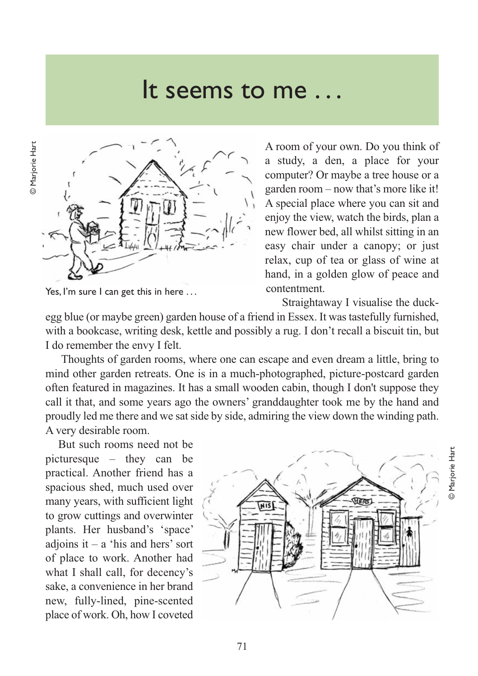## It seems to me . . .



Yes, I'm sure I can get this in here ...

A room of your own. Do you think of a study, a den, a place for your computer? Or maybe a tree house or a garden room – now that's more like it! A special place where you can sit and enjoy the view, watch the birds, plan a new flower bed, all whilst sitting in an easy chair under a canopy; or just relax, cup of tea or glass of wine at hand, in a golden glow of peace and contentment.

Straightaway I visualise the duck-

© Marjorie Hart

**D** Marjorie Har

egg blue (or maybe green) garden house of a friend in Essex. It was tastefully furnished, with a bookcase, writing desk, kettle and possibly a rug. I don't recall a biscuit tin, but I do remember the envy I felt.

Thoughts of garden rooms, where one can escape and even dream a little, bring to mind other garden retreats. One is in a much-photographed, picture-postcard garden often featured in magazines. It has a small wooden cabin, though I don't suppose they call it that, and some years ago the owners' granddaughter took me by the hand and proudly led me there and we sat side by side, admiring the view down the winding path. A very desirable room.

But such rooms need not be picturesque – they can be practical. Another friend has a spacious shed, much used over many years, with sufficient light to grow cuttings and overwinter plants. Her husband's 'space' adjoins  $it - a$  'his and hers' sort of place to work. Another had what I shall call, for decency's sake, a convenience in her brand new, fully-lined, pine-scented place of work. Oh, how I coveted